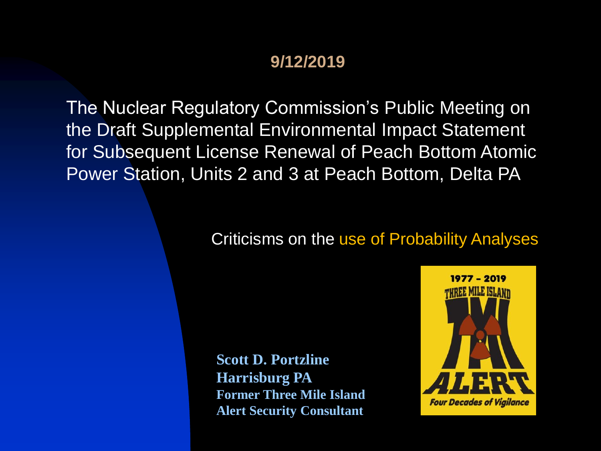#### **9/12/2019**

The Nuclear Regulatory Commission's Public Meeting on the Draft Supplemental Environmental Impact Statement for Subsequent License Renewal of Peach Bottom Atomic Power Station, Units 2 and 3 at Peach Bottom, Delta PA

#### Criticisms on the use of Probability Analyses

**Scott D. Portzline Harrisburg PA Former Three Mile Island Alert Security Consultant**

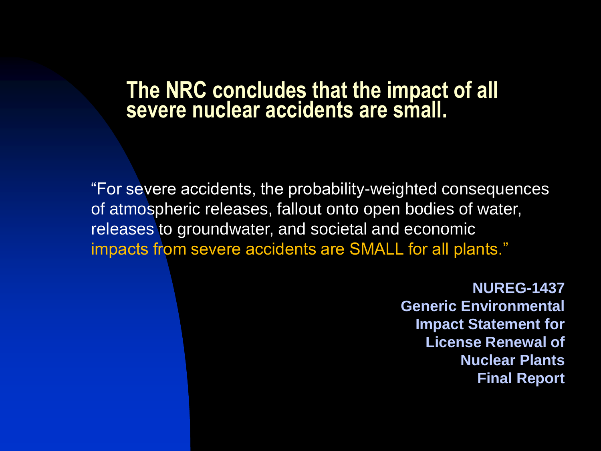#### **The NRC concludes that the impact of all severe nuclear accidents are small.**

"For severe accidents, the probability-weighted consequences of atmospheric releases, fallout onto open bodies of water, releases to groundwater, and societal and economic impacts from severe accidents are SMALL for all plants."

> **NUREG-1437 Generic Environmental Impact Statement for License Renewal of Nuclear Plants Final Report**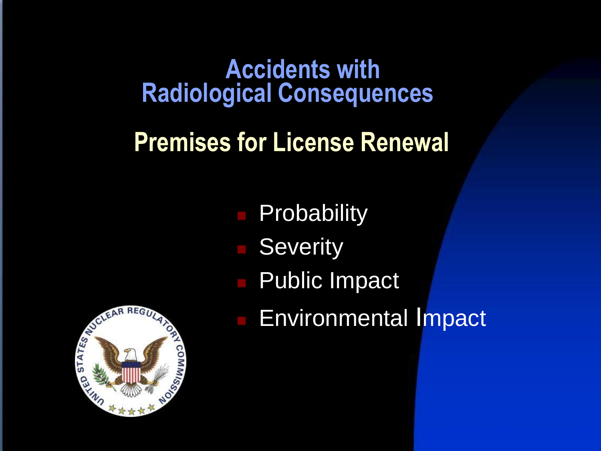### **Accidents with Radiological Consequences**

### **Premises for License Renewal**

- **Probability**
- **Severity**
- Public Impact
- **Environmental Impact**

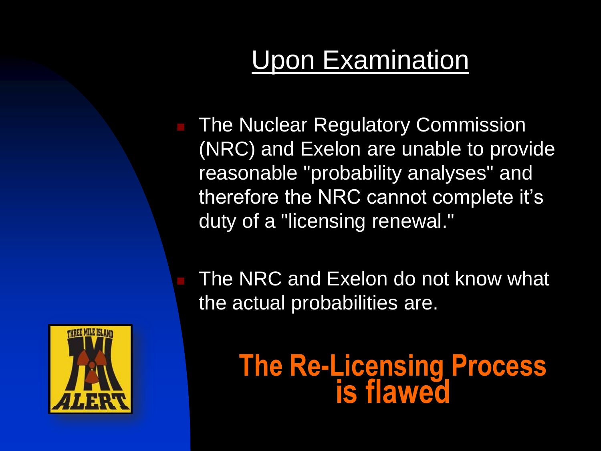## Upon Examination

 The Nuclear Regulatory Commission (NRC) and Exelon are unable to provide reasonable "probability analyses" and therefore the NRC cannot complete it's duty of a "licensing renewal."

 The NRC and Exelon do not know what the actual probabilities are.



**The Re-Licensing Process is flawed**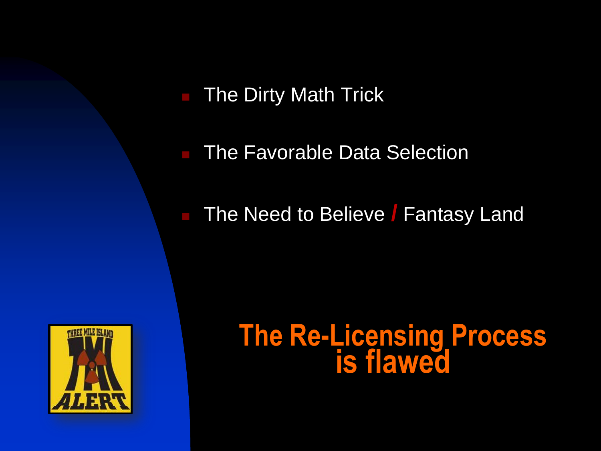**The Dirty Math Trick** 

The Favorable Data Selection

**The Need to Believe / Fantasy Land** 



## **The Re-Licensing Process is flawed**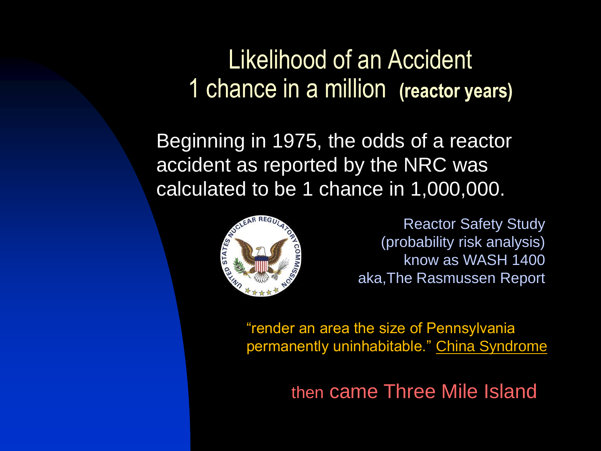### Likelihood of an Accident 1 1 chance in a million **(reactor years)**

Beginning in 1975, the odds of a reactor accident as reported by the NRC was calculated to be 1 chance in 1,000,000.



Reactor Safety Study (probability risk analysis) know as WASH 1400 aka,The Rasmussen Report

"render an area the size of Pennsylvania permanently uninhabitable." China Syndrome

then came Three Mile Island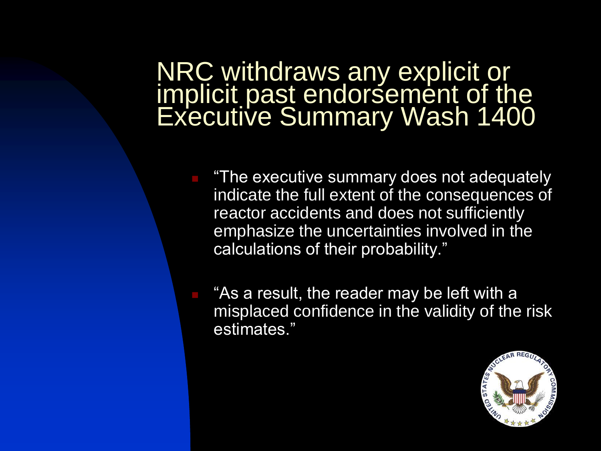#### NRC withdraws any explicit or implicit past endorsement of the Executive Summary Wash 1400

- "The executive summary does not adequately indicate the full extent of the consequences of reactor accidents and does not sufficiently emphasize the uncertainties involved in the calculations of their probability."
	- "As a result, the reader may be left with a misplaced confidence in the validity of the risk estimates."

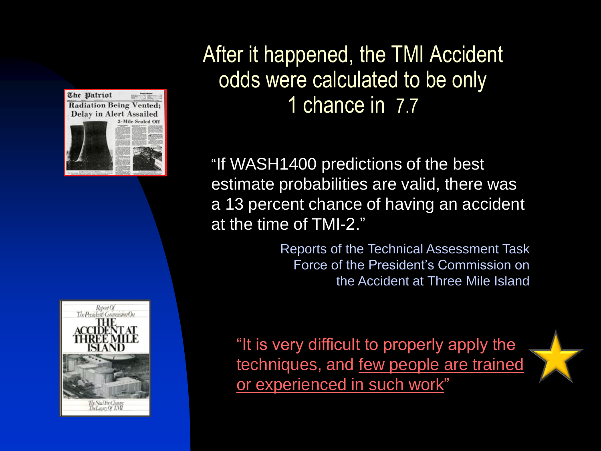



#### After it happened, the TMI Accident odds were calculated to be only 1 chance in 7.7

"If WASH1400 predictions of the best estimate probabilities are valid, there was a 13 percent chance of having an accident at the time of TMI-2."

> Reports of the Technical Assessment Task Force of the President's Commission on the Accident at Three Mile Island

"It is very difficult to properly apply the techniques, and few people are trained or experienced in such work"

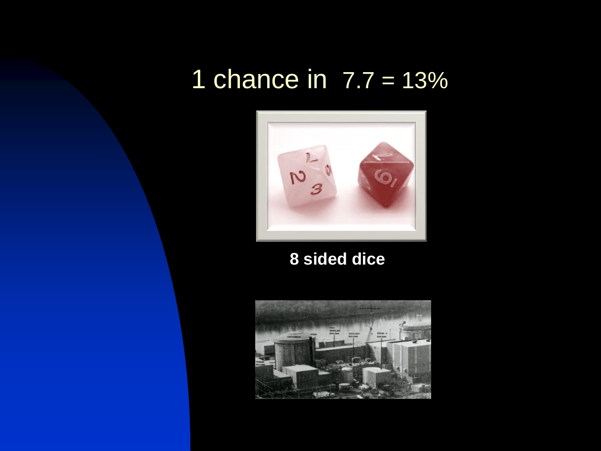### 1 chance in  $7.7 = 13%$



 **8 sided dice**

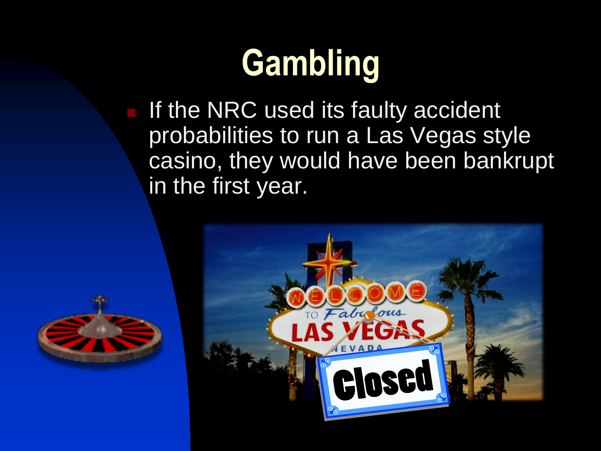# **Gambling**

 If the NRC used its faulty accident probabilities to run a Las Vegas style casino, they would have been bankrupt in the first year.



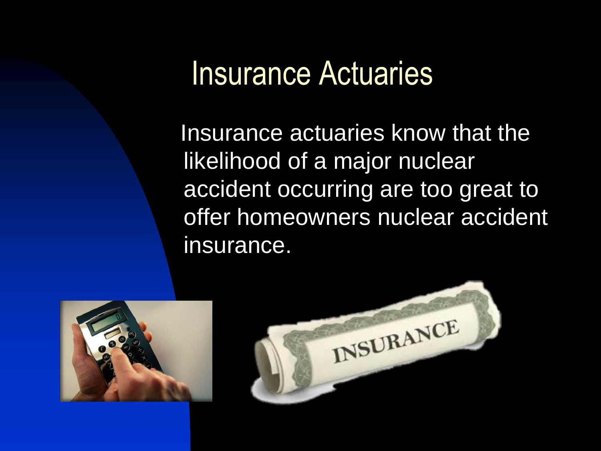## Insurance Actuaries

 Insurance actuaries know that the likelihood of a major nuclear accident occurring are too great to offer homeowners nuclear accident insurance.



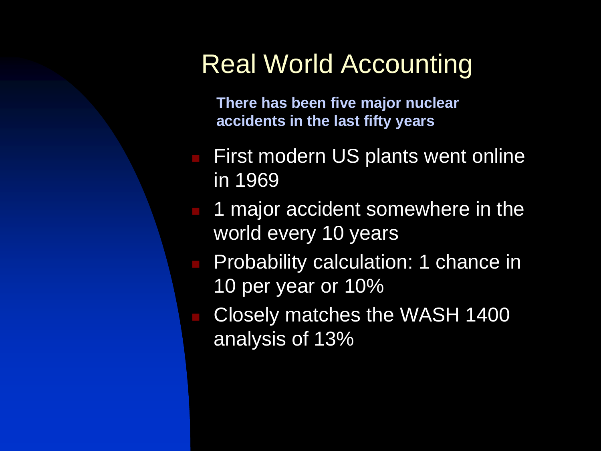### Real World Accounting

**There has been five major nuclear accidents in the last fifty years** 

- First modern US plants went online in 1969
- 1 major accident somewhere in the world every 10 years
- **Probability calculation: 1 chance in** 10 per year or 10%
- Closely matches the WASH 1400 analysis of 13%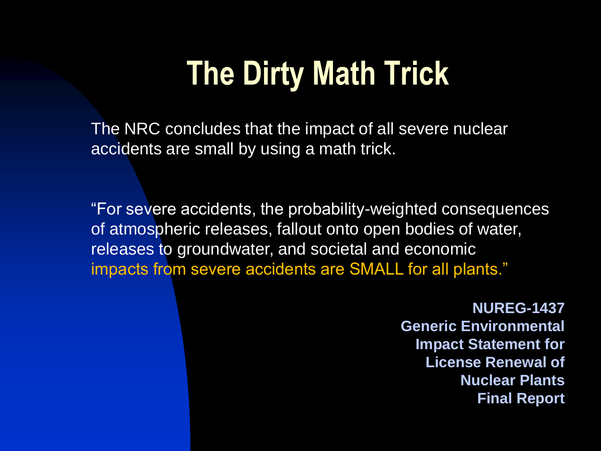## **The Dirty Math Trick**

The NRC concludes that the impact of all severe nuclear accidents are small by using a math trick.

"For severe accidents, the probability-weighted consequences of atmospheric releases, fallout onto open bodies of water, releases to groundwater, and societal and economic impacts from severe accidents are SMALL for all plants."

> **NUREG-1437 Generic Environmental Impact Statement for License Renewal of Nuclear Plants Final Report**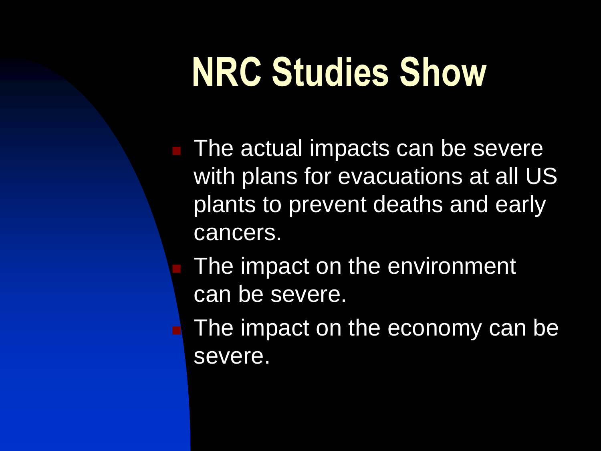# **NRC Studies Show**

**The actual impacts can be severe** with plans for evacuations at all US plants to prevent deaths and early cancers.

 The impact on the environment can be severe.

 $\blacksquare$  The impact on the economy can be severe.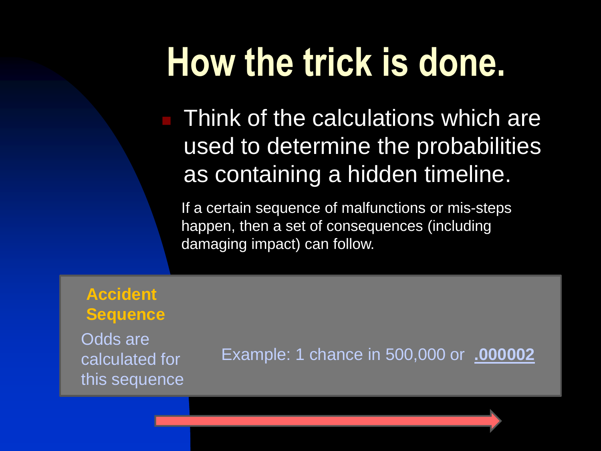Think of the calculations which are used to determine the probabilities as containing a hidden timeline.

If a certain sequence of malfunctions or mis-steps happen, then a set of consequences (including damaging impact) can follow.

**Accident Sequence**  Odds are

calculated for this sequence

Example: 1 chance in 500,000 or **.000002**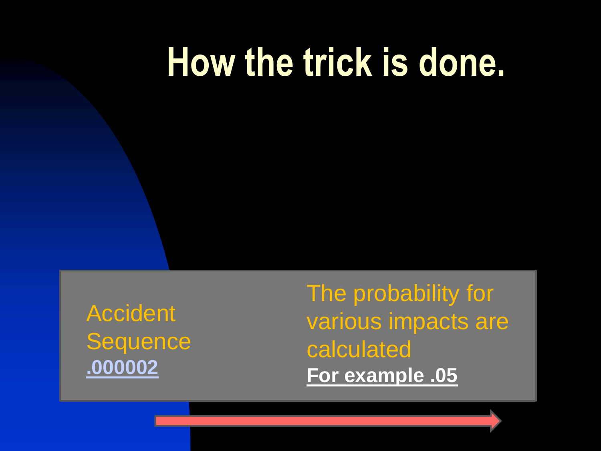**Accident Sequence .000002**

The probability for various impacts are calculated **For example .05**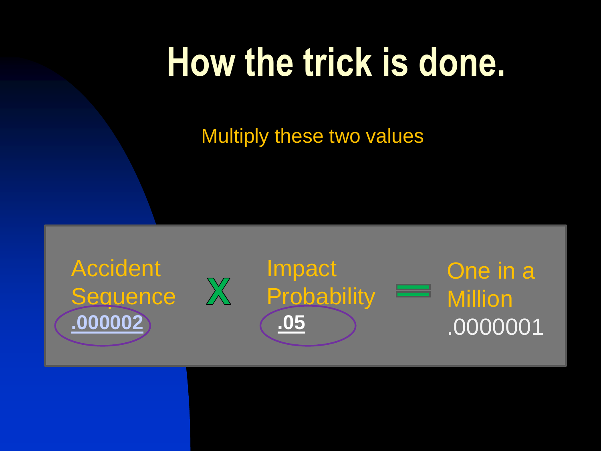Multiply these two values

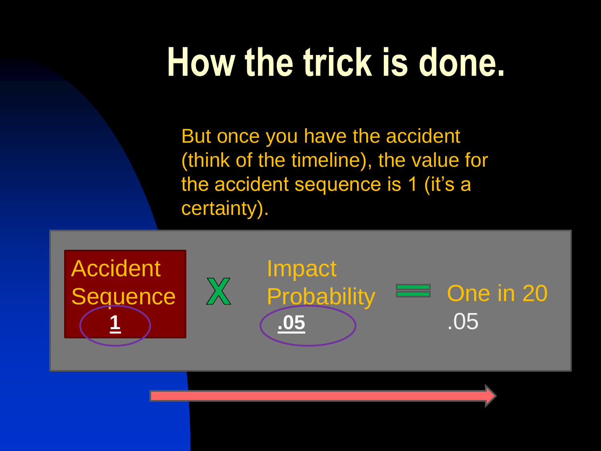But once you have the accident (think of the timeline), the value for the accident sequence is 1 (it's a certainty).

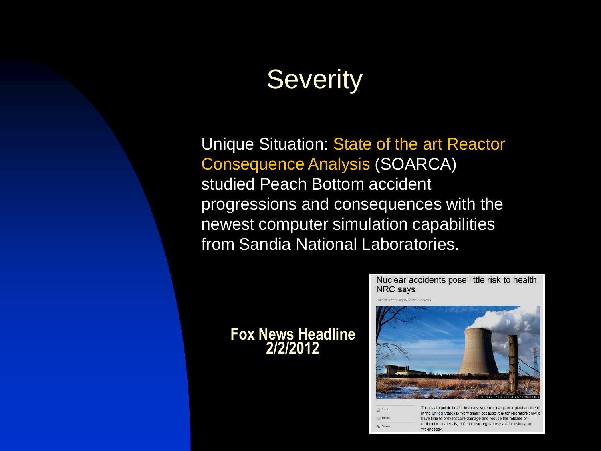## **Severity**

Unique Situation: State of the art Reactor Consequence Analysis (SOARCA) studied Peach Bottom accident progressions and consequences with the newest computer simulation capabilities from Sandia National Laboratories.

> $\boxtimes$  Em  $k<sub>l</sub>$  Shar

#### **Fox News Headline 2/2/2012**



|  | THE HSN to bublic Health Holli a severe Huclear bower blant accident<br>in the United States is "very small" because reactor operators should |
|--|-----------------------------------------------------------------------------------------------------------------------------------------------|
|  | have time to prevent core damage and reduce the release of<br>radioactive materials, U.S. nuclear regulators said in a study on<br>Wednesday. |
|  |                                                                                                                                               |
|  |                                                                                                                                               |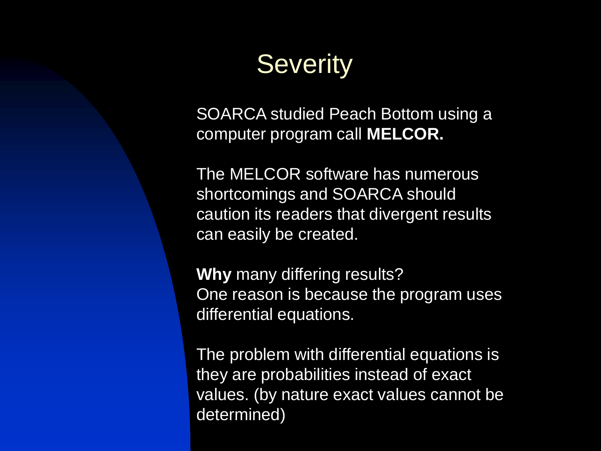## **Severity**

SOARCA studied Peach Bottom using a computer program call **MELCOR.**

The MELCOR software has numerous shortcomings and SOARCA should caution its readers that divergent results can easily be created.

**Why** many differing results? One reason is because the program uses differential equations.

The problem with differential equations is they are probabilities instead of exact values. (by nature exact values cannot be determined)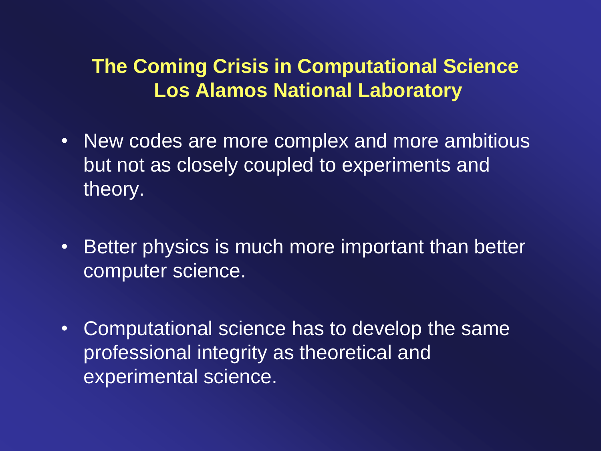#### **The Coming Crisis in Computational Science Los Alamos National Laboratory**

- New codes are more complex and more ambitious but not as closely coupled to experiments and theory.
- Better physics is much more important than better computer science.
- Computational science has to develop the same professional integrity as theoretical and experimental science.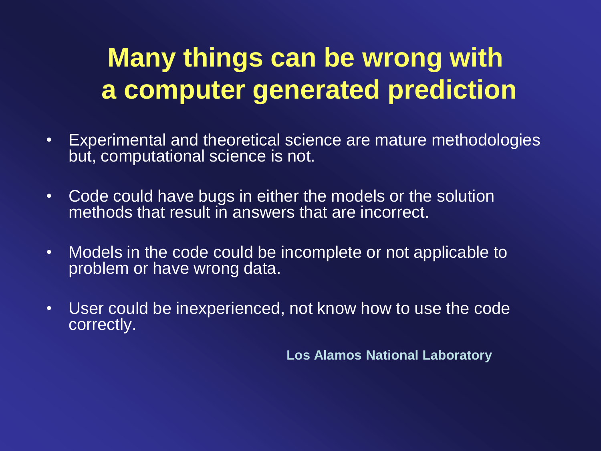## **Many things can be wrong with a computer generated prediction**

- Experimental and theoretical science are mature methodologies but, computational science is not.
- Code could have bugs in either the models or the solution methods that result in answers that are incorrect.
- Models in the code could be incomplete or not applicable to problem or have wrong data.
- User could be inexperienced, not know how to use the code correctly.

**Los Alamos National Laboratory**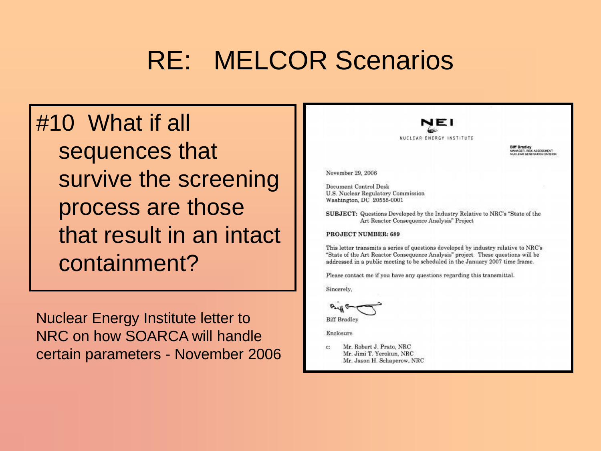## RE: MELCOR Scenarios

#10 What if all sequences that survive the screening process are those that result in an intact containment?

 Nuclear Energy Institute letter to NRC on how SOARCA will handle certain parameters - November 2006

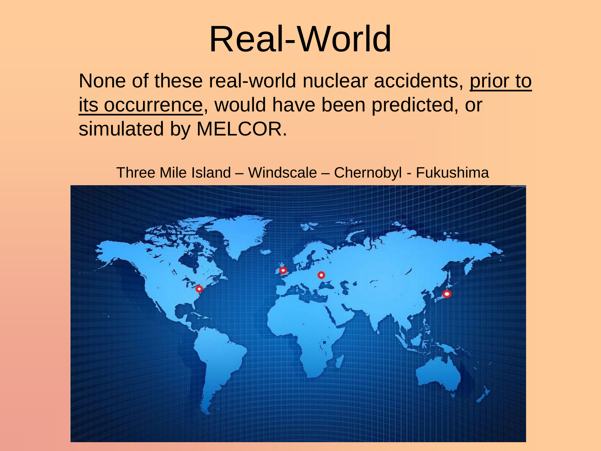## Real-World

None of these real-world nuclear accidents, prior to its occurrence, would have been predicted, or simulated by MELCOR.

Three Mile Island – Windscale – Chernobyl - Fukushima

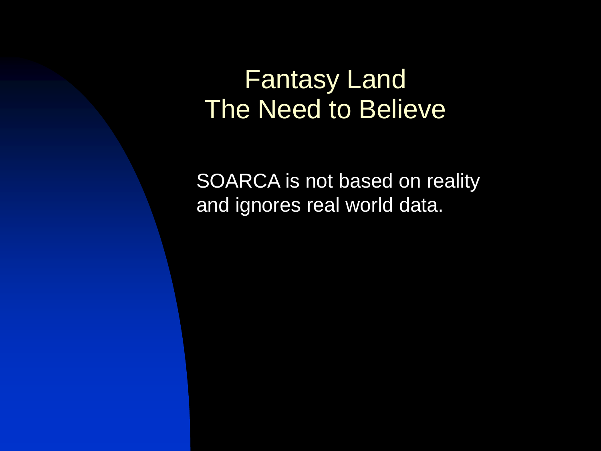### Fantasy Land The Need to Believe

SOARCA is not based on reality and ignores real world data.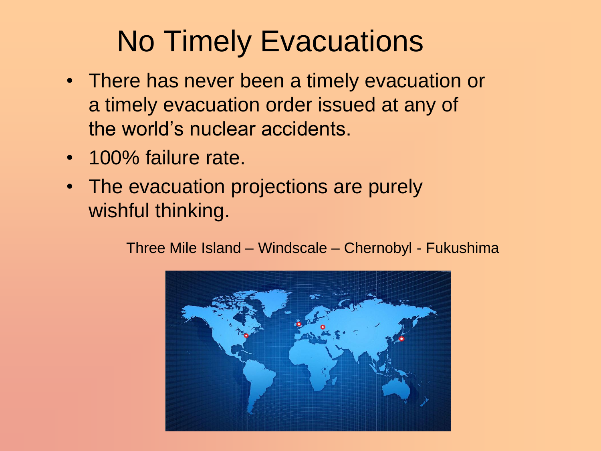## No Timely Evacuations

- There has never been a timely evacuation or a timely evacuation order issued at any of the world's nuclear accidents.
- 100% failure rate.
- The evacuation projections are purely wishful thinking.

Three Mile Island – Windscale – Chernobyl - Fukushima